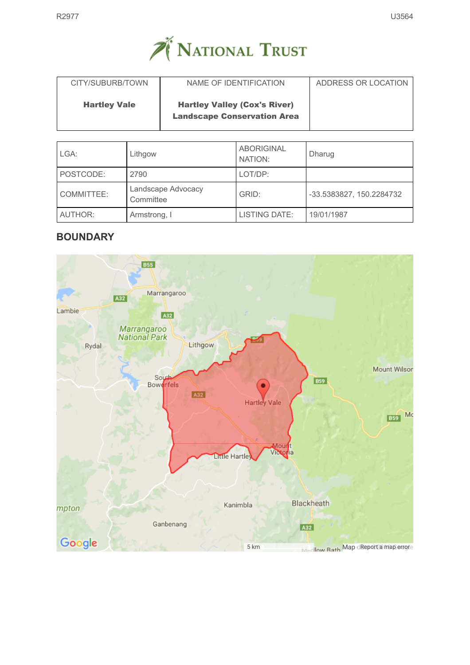

| CITY/SUBURB/TOWN    | NAME OF IDENTIFICATION                                                    | ADDRESS OR LOCATION |
|---------------------|---------------------------------------------------------------------------|---------------------|
| <b>Hartley Vale</b> | <b>Hartley Valley (Cox's River)</b><br><b>Landscape Conservation Area</b> |                     |

| LGA:       | Lithgow                         | <b>ABORIGINAL</b><br>NATION: | Dharug                   |
|------------|---------------------------------|------------------------------|--------------------------|
| POSTCODE:  | 2790                            | LOT/DP:                      |                          |
| COMMITTEE: | Landscape Advocacy<br>Committee | GRID:                        | -33.5383827, 150.2284732 |
| AUTHOR:    | Armstrong, I                    | <b>LISTING DATE:</b>         | 19/01/1987               |

# **BOUNDARY**

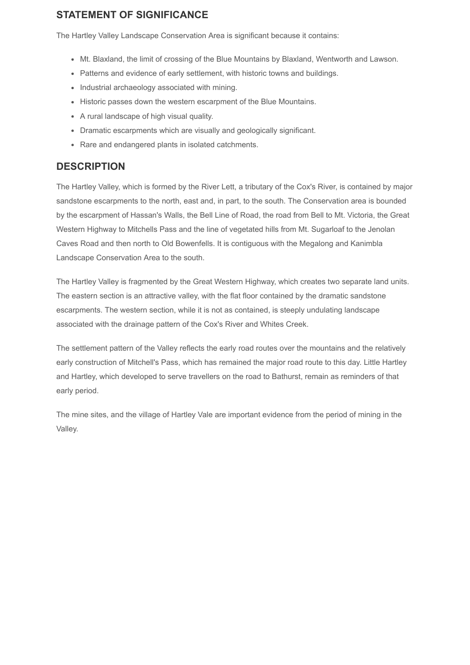## STATEMENT OF SIGNIFICANCE

The Hartley Valley Landscape Conservation Area is significant because it contains:

- Mt. Blaxland, the limit of crossing of the Blue Mountains by Blaxland, Wentworth and Lawson.
- Patterns and evidence of early settlement, with historic towns and buildings.
- Industrial archaeology associated with mining.
- Historic passes down the western escarpment of the Blue Mountains.
- A rural landscape of high visual quality.
- Dramatic escarpments which are visually and geologically significant.
- Rare and endangered plants in isolated catchments.

### **DESCRIPTION**

The Hartley Valley, which is formed by the River Lett, a tributary of the Cox's River, is contained by major sandstone escarpments to the north, east and, in part, to the south. The Conservation area is bounded by the escarpment of Hassan's Walls, the Bell Line of Road, the road from Bell to Mt. Victoria, the Great Western Highway to Mitchells Pass and the line of vegetated hills from Mt. Sugarloaf to the Jenolan Caves Road and then north to Old Bowenfells. It is contiguous with the Megalong and Kanimbla Landscape Conservation Area to the south.

The Hartley Valley is fragmented by the Great Western Highway, which creates two separate land units. The eastern section is an attractive valley, with the flat floor contained by the dramatic sandstone escarpments. The western section, while it is not as contained, is steeply undulating landscape associated with the drainage pattern of the Cox's River and Whites Creek.

The settlement pattern of the Valley reflects the early road routes over the mountains and the relatively early construction of Mitchell's Pass, which has remained the major road route to this day. Little Hartley and Hartley, which developed to serve travellers on the road to Bathurst, remain as reminders of that early period.

The mine sites, and the village of Hartley Vale are important evidence from the period of mining in the Valley.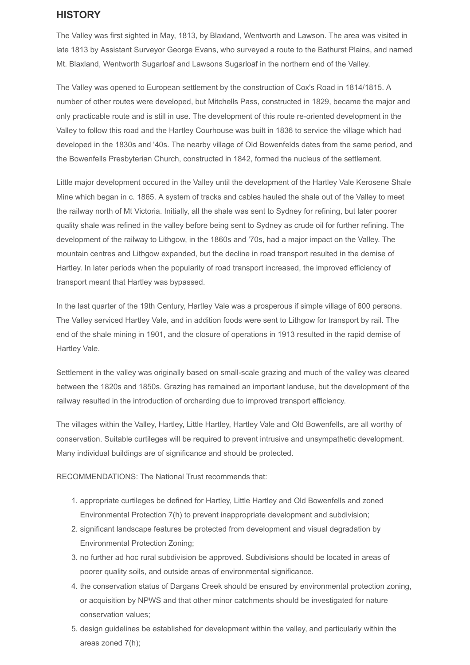### **HISTORY**

The Valley was first sighted in May, 1813, by Blaxland, Wentworth and Lawson. The area was visited in late 1813 by Assistant Surveyor George Evans, who surveyed a route to the Bathurst Plains, and named Mt. Blaxland, Wentworth Sugarloaf and Lawsons Sugarloaf in the northern end of the Valley.

The Valley was opened to European settlement by the construction of Cox's Road in 1814/1815. A number of other routes were developed, but Mitchells Pass, constructed in 1829, became the major and only practicable route and is still in use. The development of this route re-oriented development in the Valley to follow this road and the Hartley Courhouse was built in 1836 to service the village which had developed in the 1830s and '40s. The nearby village of Old Bowenfelds dates from the same period, and the Bowenfells Presbyterian Church, constructed in 1842, formed the nucleus of the settlement.

Little major development occured in the Valley until the development of the Hartley Vale Kerosene Shale Mine which began in c. 1865. A system of tracks and cables hauled the shale out of the Valley to meet the railway north of Mt Victoria. Initially, all the shale was sent to Sydney for refining, but later poorer quality shale was refined in the valley before being sent to Sydney as crude oil for further refining. The development of the railway to Lithgow, in the 1860s and '70s, had a major impact on the Valley. The mountain centres and Lithgow expanded, but the decline in road transport resulted in the demise of Hartley. In later periods when the popularity of road transport increased, the improved efficiency of transport meant that Hartley was bypassed.

In the last quarter of the 19th Century, Hartley Vale was a prosperous if simple village of 600 persons. The Valley serviced Hartley Vale, and in addition foods were sent to Lithgow for transport by rail. The end of the shale mining in 1901, and the closure of operations in 1913 resulted in the rapid demise of Hartley Vale.

Settlement in the valley was originally based on small-scale grazing and much of the valley was cleared between the 1820s and 1850s. Grazing has remained an important landuse, but the development of the railway resulted in the introduction of orcharding due to improved transport efficiency.

The villages within the Valley, Hartley, Little Hartley, Hartley Vale and Old Bowenfells, are all worthy of conservation. Suitable curtileges will be required to prevent intrusive and unsympathetic development. Many individual buildings are of significance and should be protected.

RECOMMENDATIONS: The National Trust recommends that:

- 1. appropriate curtileges be defined for Hartley, Little Hartley and Old Bowenfells and zoned Environmental Protection 7(h) to prevent inappropriate development and subdivision;
- 2. significant landscape features be protected from development and visual degradation by Environmental Protection Zoning;
- 3. no further ad hoc rural subdivision be approved. Subdivisions should be located in areas of poorer quality soils, and outside areas of environmental significance.
- 4. the conservation status of Dargans Creek should be ensured by environmental protection zoning, or acquisition by NPWS and that other minor catchments should be investigated for nature conservation values;
- 5. design guidelines be established for development within the valley, and particularly within the areas zoned 7(h);